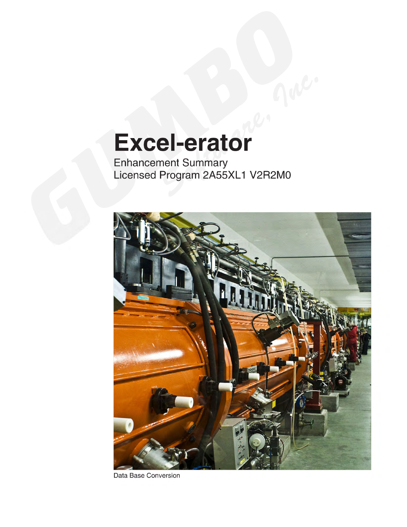# **Excel-erator**

Enhancement Summary<br>Licensed Program 2A55XL1 V2R2M0



Data Base Conversion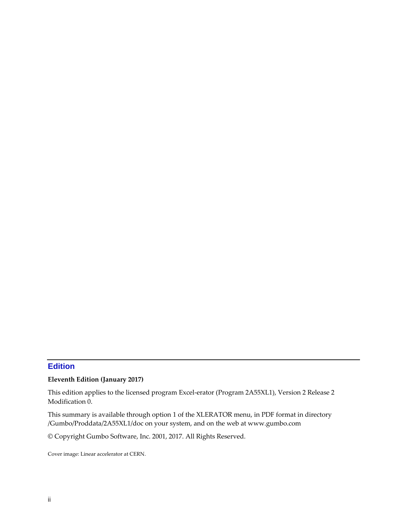# <span id="page-1-0"></span>**Edition**

#### **Eleventh Edition (January 2017)**

This edition applies to the licensed program Excel‐erator (Program 2A55XL1), Version 2 Release 2 Modification 0.

This summary is available through option 1 of the XLERATOR menu, in PDF format in directory /Gumbo/Proddata/2A55XL1/doc on your system, and on the web at www.gumbo.com

© Copyright Gumbo Software, Inc. 2001, 2017. All Rights Reserved.

Cover image: Linear accelerator at CERN.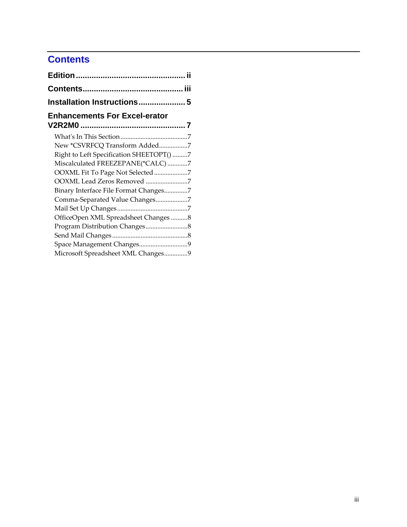# <span id="page-2-0"></span>**Contents**

| <b>Enhancements For Excel-erator</b>     |  |
|------------------------------------------|--|
|                                          |  |
| New *CSVRFCQ Transform Added7            |  |
| Right to Left Specification SHEETOPT() 7 |  |
| Miscalculated FREEZEPANE(*CALC) 7        |  |
| OOXML Fit To Page Not Selected 7         |  |
| OOXML Lead Zeros Removed 7               |  |
| Binary Interface File Format Changes7    |  |
| Comma-Separated Value Changes7           |  |
|                                          |  |
| OfficeOpen XML Spreadsheet Changes8      |  |
|                                          |  |
|                                          |  |
| Space Management Changes9                |  |
| Microsoft Spreadsheet XML Changes9       |  |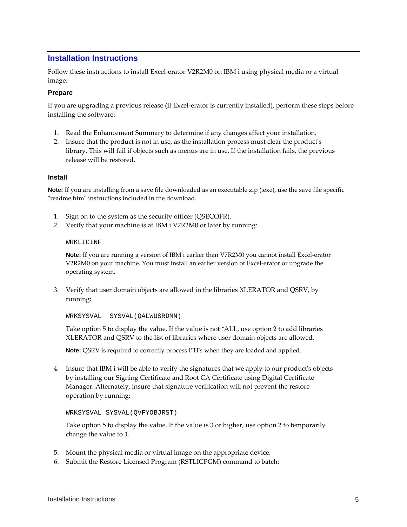# <span id="page-4-0"></span>**Installation Instructions**

Follow these instructions to install Excel‐erator V2R2M0 on IBM i using physical media or a virtual image:

#### **Prepare**

If you are upgrading a previous release (if Excel‐erator is currently installed), perform these steps before installing the software:

- 1. Read the Enhancement Summary to determine if any changes affect your installation.
- 2. Insure that the product is not in use, as the installation process must clear the product's library. This will fail if objects such as menus are in use. If the installation fails, the previous release will be restored.

#### **Install**

**Note:** If you are installing from a save file downloaded as an executable zip (.exe), use the save file specific "readme.htm" instructions included in the download.

- 1. Sign on to the system as the security officer (QSECOFR).
- 2. Verify that your machine is at IBM i V7R2M0 or later by running:

#### WRKLICINF

**Note:** If you are running a version of IBM i earlier than V7R2M0 you cannot install Excel‐erator V2R2M0 on your machine. You must install an earlier version of Excel‐erator or upgrade the operating system.

3. Verify that user domain objects are allowed in the libraries XLERATOR and QSRV, by running:

WRKSYSVAL SYSVAL(QALWUSRDMN)

Take option 5 to display the value. If the value is not \*ALL, use option 2 to add libraries XLERATOR and QSRV to the list of libraries where user domain objects are allowed.

**Note:** QSRV is required to correctly process PTFs when they are loaded and applied.

4. Insure that IBM i will be able to verify the signatures that we apply to our product's objects by installing our Signing Certificate and Root CA Certificate using Digital Certificate Manager. Alternately, insure that signature verification will not prevent the restore operation by running:

#### WRKSYSVAL SYSVAL(QVFYOBJRST)

Take option 5 to display the value. If the value is 3 or higher, use option 2 to temporarily change the value to 1.

- 5. Mount the physical media or virtual image on the appropriate device.
- 6. Submit the Restore Licensed Program (RSTLICPGM) command to batch: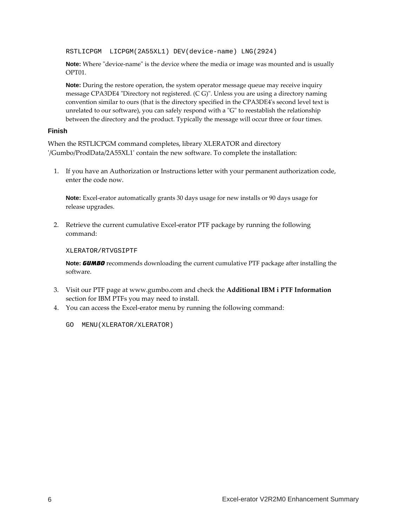RSTLICPGM LICPGM(2A55XL1) DEV(device-name) LNG(2924)

**Note:** Where "device-name" is the device where the media or image was mounted and is usually OPT01.

**Note:** During the restore operation, the system operator message queue may receive inquiry message CPA3DE4 "Directory not registered. (C G)". Unless you are using a directory naming convention similar to ours (that is the directory specified in the CPA3DE4ʹs second level text is unrelated to our software), you can safely respond with a "G" to reestablish the relationship between the directory and the product. Typically the message will occur three or four times.

#### **Finish**

When the RSTLICPGM command completes, library XLERATOR and directory ʹ/Gumbo/ProdData/2A55XL1ʹ contain the new software. To complete the installation:

1. If you have an Authorization or Instructions letter with your permanent authorization code, enter the code now.

**Note:** Excel-erator automatically grants 30 days usage for new installs or 90 days usage for release upgrades.

2. Retrieve the current cumulative Excel‐erator PTF package by running the following command:

XLERATOR/RTVGSIPTF

**Note:** *GUMBO* recommends downloading the current cumulative PTF package after installing the software.

- 3. Visit our PTF page at www.gumbo.com and check the **Additional IBM i PTF Information** section for IBM PTFs you may need to install.
- 4. You can access the Excel‐erator menu by running the following command:
	- GO MENU(XLERATOR/XLERATOR)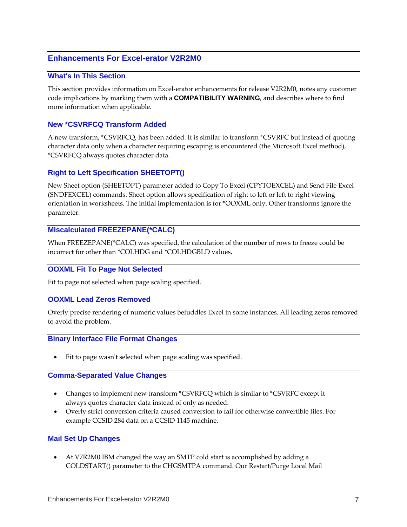# <span id="page-6-0"></span>**Enhancements For Excel-erator V2R2M0**

#### <span id="page-6-1"></span>**What's In This Section**

This section provides information on Excel‐erator enhancements for release V2R2M0, notes any customer code implications by marking them with a **COMPATIBILITY WARNING**, and describes where to find more information when applicable.

#### <span id="page-6-2"></span>**New \*CSVRFCQ Transform Added**

A new transform, \*CSVRFCQ, has been added. It is similar to transform \*CSVRFC but instead of quoting character data only when a character requiring escaping is encountered (the Microsoft Excel method), \*CSVRFCQ always quotes character data.

#### <span id="page-6-3"></span>**Right to Left Specification SHEETOPT()**

New Sheet option (SHEETOPT) parameter added to Copy To Excel (CPYTOEXCEL) and Send File Excel (SNDFEXCEL) commands. Sheet option allows specification of right to left or left to right viewing orientation in worksheets. The initial implementation is for \*OOXML only. Other transforms ignore the parameter.

#### <span id="page-6-4"></span>**Miscalculated FREEZEPANE(\*CALC)**

When FREEZEPANE(\*CALC) was specified, the calculation of the number of rows to freeze could be incorrect for other than \*COLHDG and \*COLHDGBLD values.

#### <span id="page-6-5"></span>**OOXML Fit To Page Not Selected**

Fit to page not selected when page scaling specified.

#### <span id="page-6-6"></span>**OOXML Lead Zeros Removed**

Overly precise rendering of numeric values befuddles Excel in some instances. All leading zeros removed to avoid the problem.

#### <span id="page-6-7"></span>**Binary Interface File Format Changes**

Fit to page wasn't selected when page scaling was specified.

#### <span id="page-6-8"></span>**Comma-Separated Value Changes**

- Changes to implement new transform \*CSVRFCQ which is similar to \*CSVRFC except it always quotes character data instead of only as needed.
- Overly strict conversion criteria caused conversion to fail for otherwise convertible files. For example CCSID 284 data on a CCSID 1145 machine.

#### <span id="page-6-9"></span>**Mail Set Up Changes**

 At V7R2M0 IBM changed the way an SMTP cold start is accomplished by adding a COLDSTART() parameter to the CHGSMTPA command. Our Restart/Purge Local Mail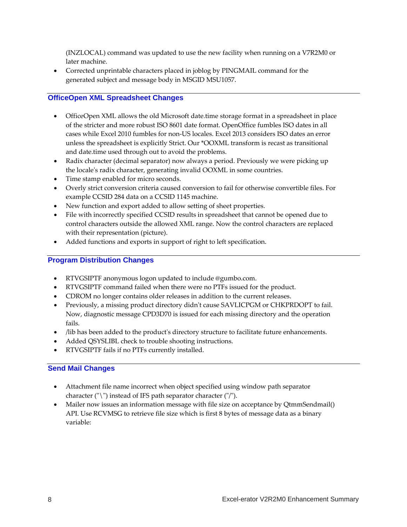(INZLOCAL) command was updated to use the new facility when running on a V7R2M0 or later machine.

 Corrected unprintable characters placed in joblog by PINGMAIL command for the generated subject and message body in MSGID MSU1057.

# <span id="page-7-0"></span>**OfficeOpen XML Spreadsheet Changes**

- OfficeOpen XML allows the old Microsoft date.time storage format in a spreadsheet in place of the stricter and more robust ISO 8601 date format. OpenOffice fumbles ISO dates in all cases while Excel 2010 fumbles for non‐US locales. Excel 2013 considers ISO dates an error unless the spreadsheet is explicitly Strict. Our \*OOXML transform is recast as transitional and date.time used through out to avoid the problems.
- Radix character (decimal separator) now always a period. Previously we were picking up the locale's radix character, generating invalid OOXML in some countries.
- Time stamp enabled for micro seconds.
- Overly strict conversion criteria caused conversion to fail for otherwise convertible files. For example CCSID 284 data on a CCSID 1145 machine.
- New function and export added to allow setting of sheet properties.
- File with incorrectly specified CCSID results in spreadsheet that cannot be opened due to control characters outside the allowed XML range. Now the control characters are replaced with their representation (picture).
- Added functions and exports in support of right to left specification.

# <span id="page-7-1"></span>**Program Distribution Changes**

- RTVGSIPTF anonymous logon updated to include @gumbo.com.
- RTVGSIPTF command failed when there were no PTFs issued for the product.
- CDROM no longer contains older releases in addition to the current releases.
- Previously, a missing product directory didn't cause SAVLICPGM or CHKPRDOPT to fail. Now, diagnostic message CPD3D70 is issued for each missing directory and the operation fails.
- /lib has been added to the product's directory structure to facilitate future enhancements.
- Added QSYSLIBL check to trouble shooting instructions.
- RTVGSIPTF fails if no PTFs currently installed.

## <span id="page-7-2"></span>**Send Mail Changes**

- Attachment file name incorrect when object specified using window path separator character (" $\langle$ ") instead of IFS path separator character ("/").
- Mailer now issues an information message with file size on acceptance by QtmmSendmail() API. Use RCVMSG to retrieve file size which is first 8 bytes of message data as a binary variable: